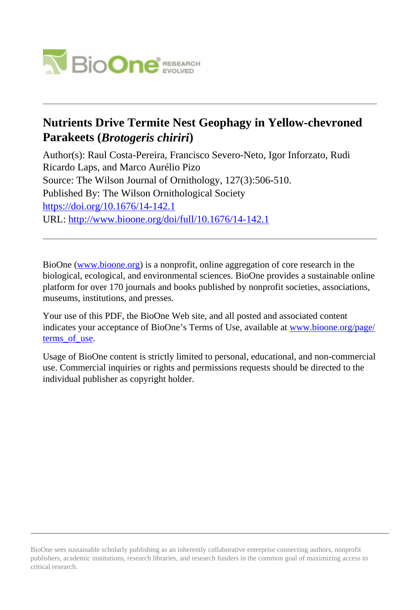

# **Nutrients Drive Termite Nest Geophagy in Yellow-chevroned Parakeets (***Brotogeris chiriri***)**

Author(s): Raul Costa-Pereira, Francisco Severo-Neto, Igor Inforzato, Rudi Ricardo Laps, and Marco Aurélio Pizo Source: The Wilson Journal of Ornithology, 127(3):506-510. Published By: The Wilson Ornithological Society <https://doi.org/10.1676/14-142.1> URL: <http://www.bioone.org/doi/full/10.1676/14-142.1>

BioOne [\(www.bioone.org\)](http://www.bioone.org) is a nonprofit, online aggregation of core research in the biological, ecological, and environmental sciences. BioOne provides a sustainable online platform for over 170 journals and books published by nonprofit societies, associations, museums, institutions, and presses.

Your use of this PDF, the BioOne Web site, and all posted and associated content indicates your acceptance of BioOne's Terms of Use, available at [www.bioone.org/page/](http://www.bioone.org/page/terms_of_use) [terms\\_of\\_use.](http://www.bioone.org/page/terms_of_use)

Usage of BioOne content is strictly limited to personal, educational, and non-commercial use. Commercial inquiries or rights and permissions requests should be directed to the individual publisher as copyright holder.

BioOne sees sustainable scholarly publishing as an inherently collaborative enterprise connecting authors, nonprofit publishers, academic institutions, research libraries, and research funders in the common goal of maximizing access to critical research.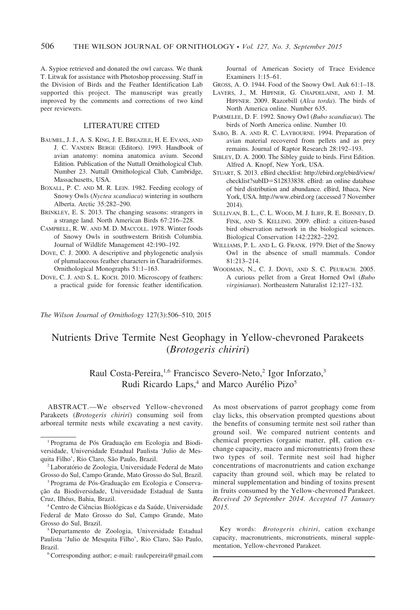A. Sypioe retrieved and donated the owl carcass. We thank T. Litwak for assistance with Photoshop processing. Staff in the Division of Birds and the Feather Identification Lab supported this project. The manuscript was greatly improved by the comments and corrections of two kind peer reviewers.

### LITERATURE CITED

- BAUMEL, J. J., A. S. KING, J. E. BREAZILE, H. E. EVANS, AND J. C. VANDEN BERGE (Editors). 1993. Handbook of avian anatomy: nomina anatomica avium. Second Edition. Publication of the Nuttall Ornithological Club. Number 23. Nuttall Ornithological Club, Cambridge, Massachusetts, USA.
- BOXALL, P. C. AND M. R. LEIN. 1982. Feeding ecology of Snowy Owls (Nyctea scandiaca) wintering in southern Alberta. Arctic 35:282–290.
- BRINKLEY, E. S. 2013. The changing seasons: strangers in a strange land. North American Birds 67:216–228.
- CAMPBELL, R. W. AND M. D. MACCOLL. 1978. Winter foods of Snowy Owls in southwestern British Columbia. Journal of Wildlife Management 42:190–192.
- DOVE, C. J. 2000. A descriptive and phylogenetic analysis of plumulaceous feather characters in Charadriiformes. Ornithological Monographs 51:1–163.
- DOVE, C. J. AND S. L. KOCH. 2010. Microscopy of feathers: a practical guide for forensic feather identification.

Journal of American Society of Trace Evidence Examiners 1:15–61.

- GROSS, A. O. 1944. Food of the Snowy Owl. Auk 61:1–18.
- LAVERS, J., M. HIPFNER, G. CHAPDELAINE, AND J. M. HIPFNER. 2009. Razorbill (Alca torda). The birds of North America online. Number 635.
- PARMELEE, D. F. 1992. Snowy Owl (Bubo scandiacus). The birds of North America online. Number 10.
- SABO, B. A. AND R. C. LAYBOURNE. 1994. Preparation of avian material recovered from pellets and as prey remains. Journal of Raptor Research 28:192–193.
- SIBLEY, D. A. 2000. The Sibley guide to birds. First Edition. Alfred A. Knopf, New York, USA.
- STUART, S. 2013. eBird checklist: http://ebird.org/ebird/view/ checklist?subID=S12833838. eBird: an online database of bird distribution and abundance. eBird, Ithaca, New York, USA. http://www.ebird.org (accessed 7 November 2014).
- SULLIVAN, B. L., C. L. WOOD, M. J. ILIFF, R. E. BONNEY, D. FINK, AND S. KELLING. 2009. eBird: a citizen-based bird observation network in the biological sciences. Biological Conservation 142:2282–2292.
- WILLIAMS, P. L. AND L. G. FRANK. 1979. Diet of the Snowy Owl in the absence of small mammals. Condor 81:213–214.
- WOODMAN, N., C. J. DOVE, AND S. C. PEURACH. 2005. A curious pellet from a Great Horned Owl (Bubo virginianus). Northeastern Naturalist 12:127–132.

The Wilson Journal of Ornithology 127(3):506–510, 2015

# Nutrients Drive Termite Nest Geophagy in Yellow-chevroned Parakeets (Brotogeris chiriri)

## Raul Costa-Pereira,<sup>1,6</sup> Francisco Severo-Neto,<sup>2</sup> Igor Inforzato,<sup>3</sup> Rudi Ricardo Laps,<sup>4</sup> and Marco Aurélio Pizo<sup>5</sup>

ABSTRACT.—We observed Yellow-chevroned Parakeets (Brotogeris chiriri) consuming soil from arboreal termite nests while excavating a nest cavity.

As most observations of parrot geophagy come from clay licks, this observation prompted questions about the benefits of consuming termite nest soil rather than ground soil. We compared nutrient contents and chemical properties (organic matter, pH, cation exchange capacity, macro and micronutrients) from these two types of soil. Termite nest soil had higher concentrations of macronutrients and cation exchange capacity than ground soil, which may be related to mineral supplementation and binding of toxins present in fruits consumed by the Yellow-chevroned Parakeet. Received 20 September 2014. Accepted 17 January 2015.

Key words: Brotogeris chiriri, cation exchange capacity, macronutrients, micronutrients, mineral supplementation, Yellow-chevroned Parakeet.

<sup>&</sup>lt;sup>1</sup> Programa de Pós Graduação em Ecologia and Biodiversidade, Universidade Estadual Paulista 'Julio de Mesquita Filho', Rio Claro, São Paulo, Brazil.

<sup>&</sup>lt;sup>2</sup> Laboratório de Zoologia, Universidade Federal de Mato Grosso do Sul, Campo Grande, Mato Grosso do Sul, Brazil.

<sup>&</sup>lt;sup>3</sup> Programa de Pós-Graduação em Ecologia e Conservação da Biodiversidade, Universidade Estadual de Santa Cruz, Ilhéus, Bahia, Brazil.

<sup>&</sup>lt;sup>4</sup> Centro de Ciências Biológicas e da Saúde, Universidade Federal de Mato Grosso do Sul, Campo Grande, Mato Grosso do Sul, Brazil.

<sup>5</sup> Departamento de Zoologia, Universidade Estadual Paulista 'Julio de Mesquita Filho', Rio Claro, São Paulo, Brazil.

<sup>6</sup>Corresponding author; e-mail: raulcpereira@gmail.com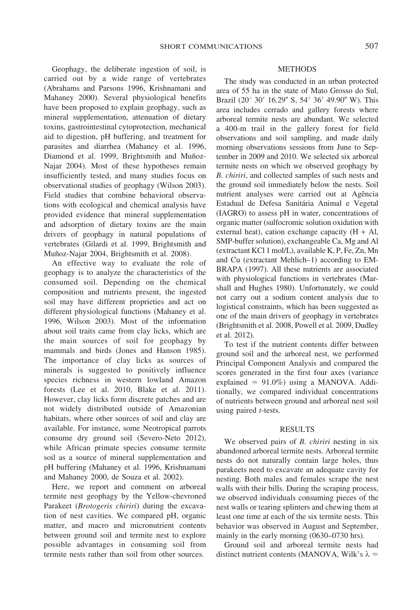Geophagy, the deliberate ingestion of soil, is carried out by a wide range of vertebrates (Abrahams and Parsons 1996, Krishnamani and Mahaney 2000). Several physiological benefits have been proposed to explain geophagy, such as mineral supplementation, attenuation of dietary toxins, gastrointestinal cytoprotection, mechanical aid to digestion, pH buffering, and treatment for parasites and diarrhea (Mahaney et al. 1996, Diamond et al. 1999, Brightsmith and Muñoz-Najar 2004). Most of these hypotheses remain insufficiently tested, and many studies focus on observational studies of geophagy (Wilson 2003). Field studies that combine behavioral observations with ecological and chemical analysis have provided evidence that mineral supplementation and adsorption of dietary toxins are the main drivers of geophagy in natural populations of vertebrates (Gilardi et al. 1999, Brightsmith and Muñoz-Najar 2004, Brightsmith et al. 2008).

An effective way to evaluate the role of geophagy is to analyze the characteristics of the consumed soil. Depending on the chemical composition and nutrients present, the ingested soil may have different proprieties and act on different physiological functions (Mahaney et al. 1996, Wilson 2003). Most of the information about soil traits came from clay licks, which are the main sources of soil for geophagy by mammals and birds (Jones and Hanson 1985). The importance of clay licks as sources of minerals is suggested to positively influence species richness in western lowland Amazon forests (Lee et al. 2010, Blake et al. 2011). However, clay licks form discrete patches and are not widely distributed outside of Amazonian habitats, where other sources of soil and clay are available. For instance, some Neotropical parrots consume dry ground soil (Severo-Neto 2012), while African primate species consume termite soil as a source of mineral supplementation and pH buffering (Mahaney et al. 1996, Krishnamani and Mahaney 2000, de Souza et al. 2002).

Here, we report and comment on arboreal termite nest geophagy by the Yellow-chevroned Parakeet (Brotogeris chiriri) during the excavation of nest cavities. We compared pH, organic matter, and macro and micronutrient contents between ground soil and termite nest to explore possible advantages in consuming soil from termite nests rather than soil from other sources.

#### METHODS

The study was conducted in an urban protected area of 55 ha in the state of Mato Grosso do Sul, Brazil (20 $^{\circ}$  30' 16.29" S, 54 $^{\circ}$  36' 49.90" W). This area includes cerrado and gallery forests where arboreal termite nests are abundant. We selected a 400-m trail in the gallery forest for field observations and soil sampling, and made daily morning observations sessions from June to September in 2009 and 2010. We selected six arboreal termite nests on which we observed geophagy by B. chiriri, and collected samples of such nests and the ground soil immediately below the nests. Soil nutrient analyses were carried out at Agência Estadual de Defesa Sanitária Animal e Vegetal (IAGRO) to assess pH in water, concentrations of organic matter (sulfocromic solution oxidation with external heat), cation exchange capacity  $(H + Al,$ SMP-buffer solution), exchangeable Ca, Mg and Al (extractant KCl 1 mol/L), available K, P, Fe, Zn, Mn and Cu (extractant Mehlich–1) according to EM-BRAPA (1997). All these nutrients are associated with physiological functions in vertebrates (Marshall and Hughes 1980). Unfortunately, we could not carry out a sodium content analysis due to logistical constraints, which has been suggested as one of the main drivers of geophagy in vertebrates (Brightsmith et al. 2008, Powell et al. 2009, Dudley et al. 2012).

To test if the nutrient contents differ between ground soil and the arboreal nest, we performed Principal Component Analysis and compared the scores generated in the first four axes (variance explained =  $91.0\%$ ) using a MANOVA. Additionally, we compared individual concentrations of nutrients between ground and arboreal nest soil using paired *t*-tests.

#### RESULTS

We observed pairs of *B. chiriri* nesting in six abandoned arboreal termite nests. Arboreal termite nests do not naturally contain large holes, thus parakeets need to excavate an adequate cavity for nesting. Both males and females scrape the nest walls with their bills. During the scraping process, we observed individuals consuming pieces of the nest walls or tearing splinters and chewing them at least one time at each of the six termite nests. This behavior was observed in August and September, mainly in the early morning (0630–0730 hrs).

Ground soil and arboreal termite nests had distinct nutrient contents (MANOVA, Wilk's  $\lambda$  =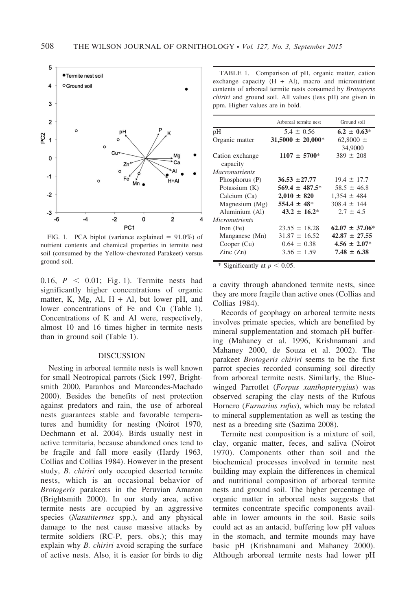

FIG. 1. PCA biplot (variance explained  $= 91.0\%$ ) of nutrient contents and chemical properties in termite nest soil (consumed by the Yellow-chevroned Parakeet) versus ground soil.

0.16,  $P \, < 0.01$ ; Fig. 1). Termite nests had significantly higher concentrations of organic matter, K, Mg, Al,  $H + Al$ , but lower pH, and lower concentrations of Fe and Cu (Table 1). Concentrations of K and Al were, respectively, almost 10 and 16 times higher in termite nests than in ground soil (Table 1).

### **DISCUSSION**

Nesting in arboreal termite nests is well known for small Neotropical parrots (Sick 1997, Brightsmith 2000, Paranhos and Marcondes-Machado 2000). Besides the benefits of nest protection against predators and rain, the use of arboreal nests guarantees stable and favorable temperatures and humidity for nesting (Noirot 1970, Dechmann et al. 2004). Birds usually nest in active termitaria, because abandoned ones tend to be fragile and fall more easily (Hardy 1963, Collias and Collias 1984). However in the present study, B. chiriri only occupied deserted termite nests, which is an occasional behavior of Brotogeris parakeets in the Peruvian Amazon (Brightsmith 2000). In our study area, active termite nests are occupied by an aggressive species (Nasutitermes spp.), and any physical damage to the nest cause massive attacks by termite soldiers (RC-P, pers. obs.); this may explain why *B. chiriri* avoid scraping the surface of active nests. Also, it is easier for birds to dig

TABLE 1. Comparison of pH, organic matter, cation exchange capacity  $(H + Al)$ , macro and micronutrient contents of arboreal termite nests consumed by Brotogeris chiriri and ground soil. All values (less pH) are given in ppm. Higher values are in bold.

|                          | Arboreal termite nest  | Ground soil         |
|--------------------------|------------------------|---------------------|
| pH                       | $5.4 \pm 0.56$         | $6.2 \pm 0.63*$     |
| Organic matter           | $31,5000 \pm 20,000^*$ | 62,8000 $\pm$       |
|                          |                        | 34,9000             |
| Cation exchange          | $1107 \pm 5700^*$      | $389 \pm 208$       |
| capacity                 |                        |                     |
| <i>Macronutrients</i>    |                        |                     |
| Phosphorus (P)           | $36.53 \pm 27.77$      | $19.4 \pm 17.7$     |
| Potassium (K)            | $569.4 + 487.5*$       | $58.5 \pm 46.8$     |
| Calcium (Ca)             | $2,010 \pm 820$        | $1,354 \pm 484$     |
| Magnesium (Mg)           | $554.4 \pm 48^*$       | $308.4 \pm 144$     |
| Aluminium (Al)           | $43.2 \pm 16.2^*$      | $2.7 \pm 4.5$       |
| <i>Micronutrients</i>    |                        |                     |
| Iron $(Fe)$              | $23.55 \pm 18.28$      | $62.07 \pm 37.06^*$ |
| Manganese (Mn)           | $31.87 \pm 16.52$      | $42.87 \pm 27.55$   |
| Cooper (Cu)              | $0.64 \pm 0.38$        | $4.56 \pm 2.07*$    |
| $\text{Zinc}(\text{Zn})$ | $3.56 \pm 1.59$        | $7.48 \pm 6.38$     |

\* Significantly at  $p < 0.05$ .

a cavity through abandoned termite nests, since they are more fragile than active ones (Collias and Collias 1984).

Records of geophagy on arboreal termite nests involves primate species, which are benefited by mineral supplementation and stomach pH buffering (Mahaney et al. 1996, Krishnamani and Mahaney 2000, de Souza et al. 2002). The parakeet Brotogeris chiriri seems to be the first parrot species recorded consuming soil directly from arboreal termite nests. Similarly, the Bluewinged Parrotlet (Forpus xanthopterygius) was observed scraping the clay nests of the Rufous Hornero (Furnarius rufus), which may be related to mineral supplementation as well as testing the nest as a breeding site (Sazima 2008).

Termite nest composition is a mixture of soil, clay, organic matter, feces, and saliva (Noirot 1970). Components other than soil and the biochemical processes involved in termite nest building may explain the differences in chemical and nutritional composition of arboreal termite nests and ground soil. The higher percentage of organic matter in arboreal nests suggests that termites concentrate specific components available in lower amounts in the soil. Basic soils could act as an antacid, buffering low pH values in the stomach, and termite mounds may have basic pH (Krishnamani and Mahaney 2000). Although arboreal termite nests had lower pH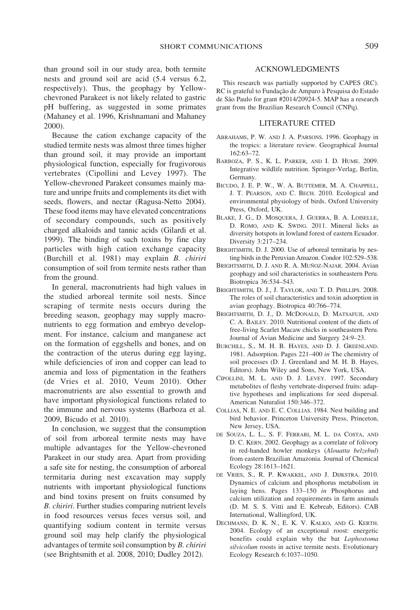than ground soil in our study area, both termite nests and ground soil are acid (5.4 versus 6.2, respectively). Thus, the geophagy by Yellowchevroned Parakeet is not likely related to gastric pH buffering, as suggested in some primates (Mahaney et al. 1996, Krishnamani and Mahaney 2000).

Because the cation exchange capacity of the studied termite nests was almost three times higher than ground soil, it may provide an important physiological function, especially for frugivorous vertebrates (Cipollini and Levey 1997). The Yellow-chevroned Parakeet consumes mainly mature and unripe fruits and complements its diet with seeds, flowers, and nectar (Ragusa-Netto 2004). These food items may have elevated concentrations of secondary compounds, such as positively charged alkaloids and tannic acids (Gilardi et al. 1999). The binding of such toxins by fine clay particles with high cation exchange capacity (Burchill et al. 1981) may explain B. chiriri consumption of soil from termite nests rather than from the ground.

In general, macronutrients had high values in the studied arboreal termite soil nests. Since scraping of termite nests occurs during the breeding season, geophagy may supply macronutrients to egg formation and embryo development. For instance, calcium and manganese act on the formation of eggshells and bones, and on the contraction of the uterus during egg laying, while deficiencies of iron and copper can lead to anemia and loss of pigmentation in the feathers (de Vries et al. 2010, Veum 2010). Other macronutrients are also essential to growth and have important physiological functions related to the immune and nervous systems (Barboza et al. 2009, Bicudo et al. 2010).

In conclusion, we suggest that the consumption of soil from arboreal termite nests may have multiple advantages for the Yellow-chevroned Parakeet in our study area. Apart from providing a safe site for nesting, the consumption of arboreal termitaria during nest excavation may supply nutrients with important physiological functions and bind toxins present on fruits consumed by B. chiriri. Further studies comparing nutrient levels in food resources versus feces versus soil, and quantifying sodium content in termite versus ground soil may help clarify the physiological advantages of termite soil consumption by B. chiriri (see Brightsmith et al. 2008, 2010; Dudley 2012).

#### ACKNOWLEDGMENTS

This research was partially supported by CAPES (RC). RC is grateful to Fundação de Amparo à Pesquisa do Estado de São Paulo for grant #2014/20924-5. MAP has a research grant from the Brazilian Research Council (CNPq).

#### LITERATURE CITED

- ABRAHAMS, P. W. AND J. A. PARSONS. 1996. Geophagy in the tropics: a literature review. Geographical Journal 162:63–72.
- BARBOZA, P. S., K. L. PARKER, AND I. D. HUME. 2009. Integrative wildlife nutrition. Springer-Verlag, Berlin, Germany.
- BICUDO, J. E. P. W., W. A. BUTTEMER, M. A. CHAPPELL, J. T. PEARSON, AND C. BECH. 2010. Ecological and environmental physiology of birds. Oxford University Press, Oxford, UK.
- BLAKE, J. G., D. MOSQUERA, J. GUERRA, B. A. LOISELLE, D. ROMO, AND K. SWING. 2011. Mineral licks as diversity hotspots in lowland forest of eastern Ecuador. Diversity 3:217–234.
- BRIGHTSMITH, D. J. 2000. Use of arboreal termitaria by nesting birds in the Peruvian Amazon. Condor 102:529–538.
- BRIGHTSMITH, D. J. AND R. A. MUÑOZ-NAJAR. 2004. Avian geophagy and soil characteristics in southeastern Peru. Biotropica 36:534–543.
- BRIGHTSMITH, D. J., J. TAYLOR, AND T. D. PHILLIPS. 2008. The roles of soil characteristics and toxin adsorption in avian geophagy. Biotropica 40:766–774.
- BRIGHTSMITH, D. J., D. MCDONALD, D. MATSAFUJI, AND C. A. BAILEY. 2010. Nutritional content of the diets of free-living Scarlet Macaw chicks in southeastern Peru. Journal of Avian Medicine and Surgery 24:9–23.
- BURCHILL, S., M. H. B. HAYES, AND D. J. GREENLAND. 1981. Adsorption. Pages 221–400 in The chemistry of soil processes (D. J. Greenland and M. H. B. Hayes, Editors). John Wiley and Sons, New York, USA.
- CIPOLLINI, M. L. AND D. J. LEVEY. 1997. Secondary metabolites of fleshy vertebrate-dispersed fruits: adaptive hypotheses and implications for seed dispersal. American Naturalist 150:346–372.
- COLLIAS, N. E. AND E. C. COLLIAS. 1984. Nest building and bird behavior. Princeton University Press, Princeton, New Jersey, USA.
- DE SOUZA, L. L., S. F. FERRARI, M. L. DA COSTA, AND D. C. KERN. 2002. Geophagy as a correlate of folivory in red-handed howler monkeys (Alouatta belzebul) from eastern Brazilian Amazonia. Journal of Chemical Ecology 28:1613–1621.
- DE VRIES, S., R. P. KWAKKEL, AND J. DIJKSTRA. 2010. Dynamics of calcium and phosphorus metabolism in laying hens. Pages 133–150 in Phosphorus and calcium utilization and requirements in farm animals (D. M. S. S. Vitti and E. Kebreab, Editors). CAB International, Wallingford, UK.
- DECHMANN, D. K. N., E. K. V. KALKO, AND G. KERTH. 2004. Ecology of an exceptional roost: energetic benefits could explain why the bat Lophostoma silvicolum roosts in active termite nests. Evolutionary Ecology Research 6:1037–1050.